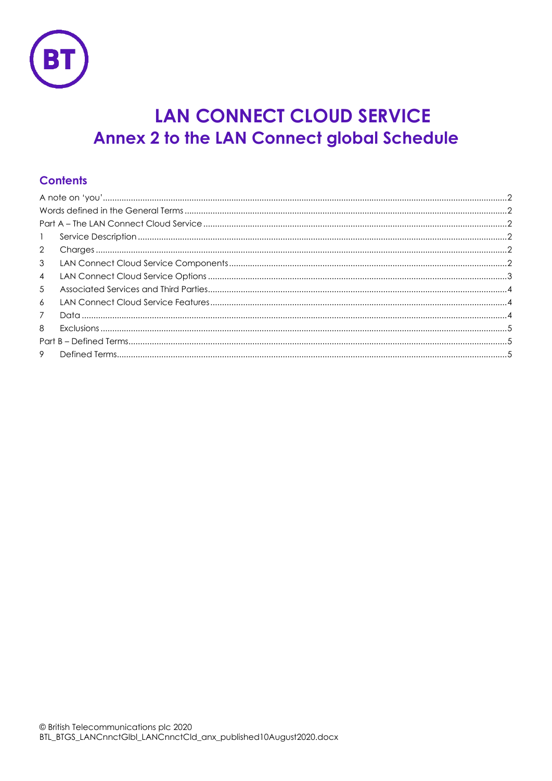

# **LAN CONNECT CLOUD SERVICE** Annex 2 to the LAN Connect global Schedule

## **Contents**

| $\mathbf{1}$   |  |  |
|----------------|--|--|
| 2              |  |  |
| $\mathcal{S}$  |  |  |
| $\overline{4}$ |  |  |
| 5              |  |  |
| 6              |  |  |
| 7 <sup>7</sup> |  |  |
| 8              |  |  |
|                |  |  |
| 9              |  |  |
|                |  |  |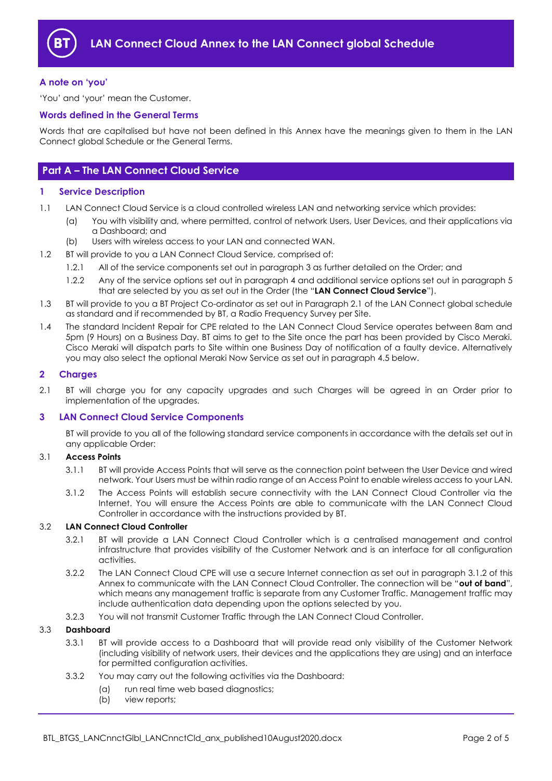

## <span id="page-1-0"></span>**A note on 'you'**

'You' and 'your' mean the Customer.

## <span id="page-1-1"></span>**Words defined in the General Terms**

Words that are capitalised but have not been defined in this Annex have the meanings given to them in the LAN Connect global Schedule or the General Terms.

## <span id="page-1-2"></span>**Part A – The LAN Connect Cloud Service**

## <span id="page-1-3"></span>**1 Service Description**

- 1.1 LAN Connect Cloud Service is a cloud controlled wireless LAN and networking service which provides:
	- (a) You with visibility and, where permitted, control of network Users, User Devices, and their applications via a Dashboard; and
	- (b) Users with wireless access to your LAN and connected WAN.
- 1.2 BT will provide to you a LAN Connect Cloud Service, comprised of:
	- 1.2.1 All of the service components set out in paragraph [3](#page-1-5) as further detailed on the Order; and
	- 1.2.2 Any of the service options set out in paragrap[h 4](#page-2-0) and additional service options set out in paragraph [5](#page-3-0) that are selected by you as set out in the Order (the "**LAN Connect Cloud Service**").
- 1.3 BT will provide to you a BT Project Co-ordinator as set out in Paragraph 2.1 of the LAN Connect global schedule as standard and if recommended by BT, a Radio Frequency Survey per Site.
- 1.4 The standard Incident Repair for CPE related to the LAN Connect Cloud Service operates between 8am and 5pm (9 Hours) on a Business Day. BT aims to get to the Site once the part has been provided by Cisco Meraki. Cisco Meraki will dispatch parts to Site within one Business Day of notification of a faulty device. Alternatively you may also select the optional Meraki Now Service as set out in paragraph [4.5](#page-2-1) below.

## <span id="page-1-4"></span>**2 Charges**

2.1 BT will charge you for any capacity upgrades and such Charges will be agreed in an Order prior to implementation of the upgrades.

## <span id="page-1-5"></span>**3 LAN Connect Cloud Service Components**

BT will provide to you all of the following standard service components in accordance with the details set out in any applicable Order:

## 3.1 **Access Points**

- 3.1.1 BT will provide Access Points that will serve as the connection point between the User Device and wired network. Your Users must be within radio range of an Access Point to enable wireless access to your LAN.
- <span id="page-1-6"></span>3.1.2 The Access Points will establish secure connectivity with the LAN Connect Cloud Controller via the Internet. You will ensure the Access Points are able to communicate with the LAN Connect Cloud Controller in accordance with the instructions provided by BT.

## <span id="page-1-7"></span>3.2 **LAN Connect Cloud Controller**

- 3.2.1 BT will provide a LAN Connect Cloud Controller which is a centralised management and control infrastructure that provides visibility of the Customer Network and is an interface for all configuration activities.
- 3.2.2 The LAN Connect Cloud CPE will use a secure Internet connection as set out in paragraph [3.1.2](#page-1-6) of this Annex to communicate with the LAN Connect Cloud Controller. The connection will be "**out of band**", which means any management traffic is separate from any Customer Traffic. Management traffic may include authentication data depending upon the options selected by you.
- 3.2.3 You will not transmit Customer Traffic through the LAN Connect Cloud Controller.

## 3.3 **Dashboard**

- 3.3.1 BT will provide access to a Dashboard that will provide read only visibility of the Customer Network (including visibility of network users, their devices and the applications they are using) and an interface for permitted configuration activities.
- 3.3.2 You may carry out the following activities via the Dashboard:
	- (a) run real time web based diagnostics;
	- (b) view reports: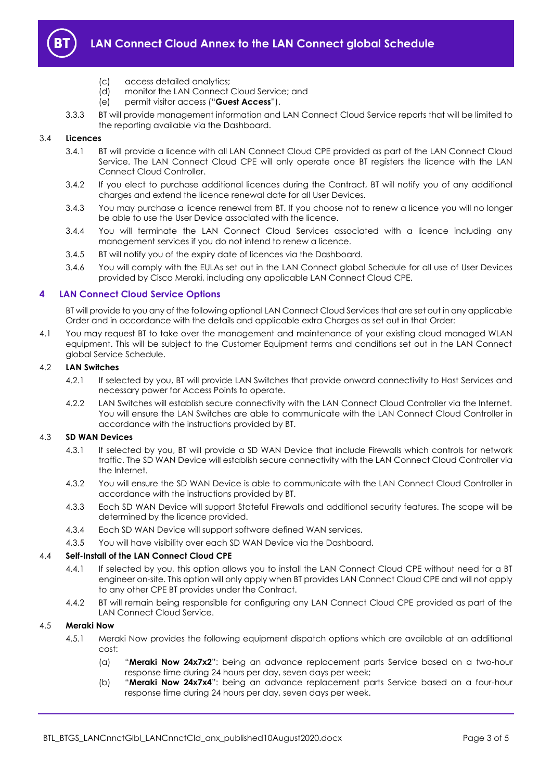

- (c) access detailed analytics;
- (d) monitor the LAN Connect Cloud Service; and
- (e) permit visitor access ("**Guest Access**").
- 3.3.3 BT will provide management information and LAN Connect Cloud Service reports that will be limited to the reporting available via the Dashboard.

## 3.4 **Licences**

- 3.4.1 BT will provide a licence with all LAN Connect Cloud CPE provided as part of the LAN Connect Cloud Service. The LAN Connect Cloud CPE will only operate once BT registers the licence with the LAN Connect Cloud Controller.
- 3.4.2 If you elect to purchase additional licences during the Contract, BT will notify you of any additional charges and extend the licence renewal date for all User Devices.
- 3.4.3 You may purchase a licence renewal from BT. If you choose not to renew a licence you will no longer be able to use the User Device associated with the licence.
- 3.4.4 You will terminate the LAN Connect Cloud Services associated with a licence including any management services if you do not intend to renew a licence.
- 3.4.5 BT will notify you of the expiry date of licences via the Dashboard.
- 3.4.6 You will comply with the EULAs set out in the LAN Connect global Schedule for all use of User Devices provided by Cisco Meraki, including any applicable LAN Connect Cloud CPE.

## <span id="page-2-0"></span>**4 LAN Connect Cloud Service Options**

BT will provide to you any of the following optional LAN Connect Cloud Services that are set out in any applicable Order and in accordance with the details and applicable extra Charges as set out in that Order:

4.1 You may request BT to take over the management and maintenance of your existing cloud managed WLAN equipment. This will be subject to the Customer Equipment terms and conditions set out in the LAN Connect global Service Schedule.

#### 4.2 **LAN Switches**

- 4.2.1 If selected by you, BT will provide LAN Switches that provide onward connectivity to Host Services and necessary power for Access Points to operate.
- 4.2.2 LAN Switches will establish secure connectivity with the LAN Connect Cloud Controller via the Internet. You will ensure the LAN Switches are able to communicate with the LAN Connect Cloud Controller in accordance with the instructions provided by BT.

#### 4.3 **SD WAN Devices**

- 4.3.1 If selected by you, BT will provide a SD WAN Device that include Firewalls which controls for network traffic. The SD WAN Device will establish secure connectivity with the LAN Connect Cloud Controller via the Internet.
- 4.3.2 You will ensure the SD WAN Device is able to communicate with the LAN Connect Cloud Controller in accordance with the instructions provided by BT.
- 4.3.3 Each SD WAN Device will support Stateful Firewalls and additional security features. The scope will be determined by the licence provided.
- 4.3.4 Each SD WAN Device will support software defined WAN services.
- 4.3.5 You will have visibility over each SD WAN Device via the Dashboard.

## 4.4 **Self-Install of the LAN Connect Cloud CPE**

- 4.4.1 If selected by you, this option allows you to install the LAN Connect Cloud CPE without need for a BT engineer on-site. This option will only apply when BT provides LAN Connect Cloud CPE and will not apply to any other CPE BT provides under the Contract.
- 4.4.2 BT will remain being responsible for configuring any LAN Connect Cloud CPE provided as part of the LAN Connect Cloud Service.

#### <span id="page-2-1"></span>4.5 **Meraki Now**

- 4.5.1 Meraki Now provides the following equipment dispatch options which are available at an additional cost:
	- (a) "**Meraki Now 24x7x2**": being an advance replacement parts Service based on a two-hour response time during 24 hours per day, seven days per week;
	- (b) "**Meraki Now 24x7x4**": being an advance replacement parts Service based on a four-hour response time during 24 hours per day, seven days per week.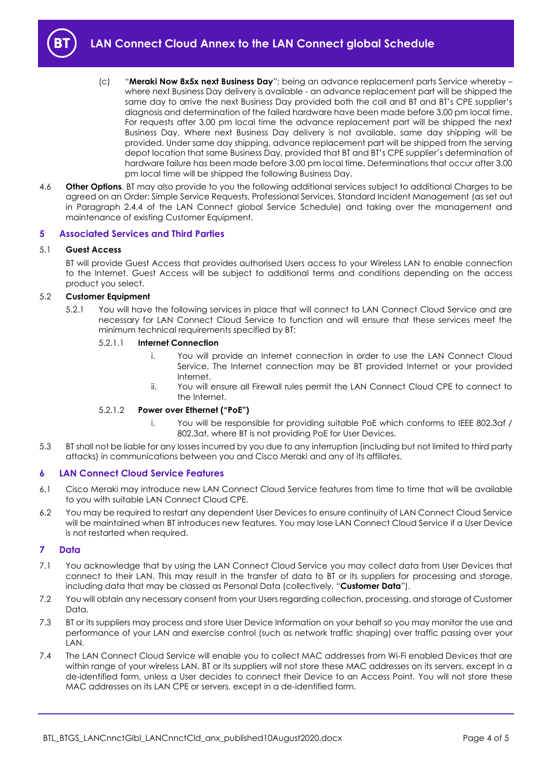- (c) "**Meraki Now 8x5x next Business Day**"; being an advance replacement parts Service whereby where next Business Day delivery is available - an advance replacement part will be shipped the same day to arrive the next Business Day provided both the call and BT and BT's CPE supplier's diagnosis and determination of the failed hardware have been made before 3.00 pm local time. For requests after 3.00 pm local time the advance replacement part will be shipped the next Business Day. Where next Business Day delivery is not available, same day shipping will be provided. Under same day shipping, advance replacement part will be shipped from the serving depot location that same Business Day, provided that BT and BT's CPE supplier's determination of hardware failure has been made before 3.00 pm local time. Determinations that occur after 3.00 pm local time will be shipped the following Business Day.
- 4.6 **Other Options**. BT may also provide to you the following additional services subject to additional Charges to be agreed on an Order: Simple Service Requests, Professional Services, Standard Incident Management (as set out in Paragraph 2.4.4 of the LAN Connect global Service Schedule) and taking over the management and maintenance of existing Customer Equipment.

## <span id="page-3-0"></span>**5 Associated Services and Third Parties**

## 5.1 **Guest Access**

BT will provide Guest Access that provides authorised Users access to your Wireless LAN to enable connection to the Internet. Guest Access will be subject to additional terms and conditions depending on the access product you select.

## 5.2 **Customer Equipment**

5.2.1 You will have the following services in place that will connect to LAN Connect Cloud Service and are necessary for LAN Connect Cloud Service to function and will ensure that these services meet the minimum technical requirements specified by BT:

#### 5.2.1.1 **Internet Connection**

- i. You will provide an Internet connection in order to use the LAN Connect Cloud Service. The Internet connection may be BT provided Internet or your provided Internet.
- ii. You will ensure all Firewall rules permit the LAN Connect Cloud CPE to connect to the Internet.

## 5.2.1.2 **Power over Ethernet ("PoE")**

- i. You will be responsible for providing suitable PoE which conforms to IEEE 802.3af / 802.3at, where BT is not providing PoE for User Devices.
- 5.3 BT shall not be liable for any losses incurred by you due to any interruption (including but not limited to third party attacks) in communications between you and Cisco Meraki and any of its affiliates.

## <span id="page-3-1"></span>**6 LAN Connect Cloud Service Features**

- 6.1 Cisco Meraki may introduce new LAN Connect Cloud Service features from time to time that will be available to you with suitable LAN Connect Cloud CPE.
- 6.2 You may be required to restart any dependent User Devices to ensure continuity of LAN Connect Cloud Service will be maintained when BT introduces new features. You may lose LAN Connect Cloud Service if a User Device is not restarted when required.

## <span id="page-3-2"></span>**7 Data**

- 7.1 You acknowledge that by using the LAN Connect Cloud Service you may collect data from User Devices that connect to their LAN. This may result in the transfer of data to BT or its suppliers for processing and storage, including data that may be classed as Personal Data (collectively, "**Customer Data**").
- 7.2 You will obtain any necessary consent from your Users regarding collection, processing, and storage of Customer Data.
- 7.3 BT or its suppliers may process and store User Device Information on your behalf so you may monitor the use and performance of your LAN and exercise control (such as network traffic shaping) over traffic passing over your LAN.
- 7.4 The LAN Connect Cloud Service will enable you to collect MAC addresses from Wi-Fi enabled Devices that are within range of your wireless LAN. BT or its suppliers will not store these MAC addresses on its servers, except in a de-identified form, unless a User decides to connect their Device to an Access Point. You will not store these MAC addresses on its LAN CPE or servers, except in a de-identified form.